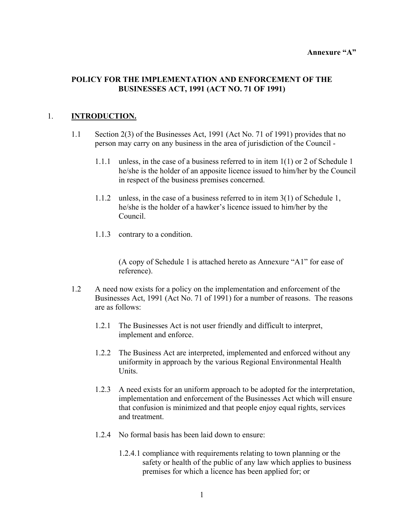#### Annexure "A"

## **POLICY FOR THE IMPLEMENTATION AND ENFORCEMENT OF THE BUSINESSES ACT, 1991 (ACT NO. 71 OF 1991)**

## 1. **INTRODUCTION.**

- 1.1 Section 2(3) of the Businesses Act, 1991 (Act No. 71 of 1991) provides that no person may carry on any business in the area of jurisdiction of the Council -
	- 1.1.1 unless, in the case of a business referred to in item 1(1) or 2 of Schedule 1 he/she is the holder of an apposite licence issued to him/her by the Council in respect of the business premises concerned.
	- 1.1.2 unless, in the case of a business referred to in item 3(1) of Schedule 1, he/she is the holder of a hawker's licence issued to him/her by the Council.
	- 1.1.3 contrary to a condition.

(A copy of Schedule 1 is attached hereto as Annexure "A1" for ease of reference).

- 1.2 A need now exists for a policy on the implementation and enforcement of the Businesses Act, 1991 (Act No. 71 of 1991) for a number of reasons. The reasons are as follows:
	- 1.2.1 The Businesses Act is not user friendly and difficult to interpret, implement and enforce.
	- 1.2.2 The Business Act are interpreted, implemented and enforced without any uniformity in approach by the various Regional Environmental Health Units.
	- 1.2.3 A need exists for an uniform approach to be adopted for the interpretation, implementation and enforcement of the Businesses Act which will ensure that confusion is minimized and that people enjoy equal rights, services and treatment.
	- 1.2.4 No formal basis has been laid down to ensure:
		- 1.2.4.1 compliance with requirements relating to town planning or the safety or health of the public of any law which applies to business premises for which a licence has been applied for; or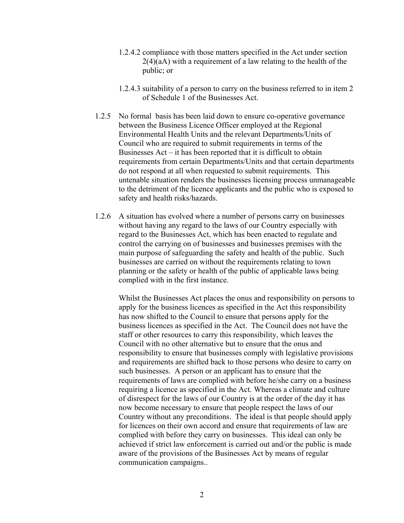- 1.2.4.2 compliance with those matters specified in the Act under section 2(4)(aA) with a requirement of a law relating to the health of the public; or
- 1.2.4.3 suitability of a person to carry on the business referred to in item 2 of Schedule 1 of the Businesses Act.
- 1.2.5 No formal basis has been laid down to ensure co-operative governance between the Business Licence Officer employed at the Regional Environmental Health Units and the relevant Departments/Units of Council who are required to submit requirements in terms of the Businesses  $Act - it$  has been reported that it is difficult to obtain requirements from certain Departments/Units and that certain departments do not respond at all when requested to submit requirements. This untenable situation renders the businesses licensing process unmanageable to the detriment of the licence applicants and the public who is exposed to safety and health risks/hazards.
- 1.2.6 A situation has evolved where a number of persons carry on businesses without having any regard to the laws of our Country especially with regard to the Businesses Act, which has been enacted to regulate and control the carrying on of businesses and businesses premises with the main purpose of safeguarding the safety and health of the public. Such businesses are carried on without the requirements relating to town planning or the safety or health of the public of applicable laws being complied with in the first instance.

Whilst the Businesses Act places the onus and responsibility on persons to apply for the business licences as specified in the Act this responsibility has now shifted to the Council to ensure that persons apply for the business licences as specified in the Act. The Council does not have the staff or other resources to carry this responsibility, which leaves the Council with no other alternative but to ensure that the onus and responsibility to ensure that businesses comply with legislative provisions and requirements are shifted back to those persons who desire to carry on such businesses. A person or an applicant has to ensure that the requirements of laws are complied with before he/she carry on a business requiring a licence as specified in the Act. Whereas a climate and culture of disrespect for the laws of our Country is at the order of the day it has now become necessary to ensure that people respect the laws of our Country without any preconditions. The ideal is that people should apply for licences on their own accord and ensure that requirements of law are complied with before they carry on businesses. This ideal can only be achieved if strict law enforcement is carried out and/or the public is made aware of the provisions of the Businesses Act by means of regular communication campaigns..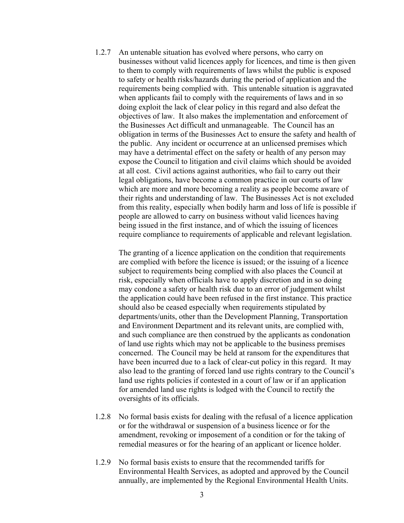1.2.7 An untenable situation has evolved where persons, who carry on businesses without valid licences apply for licences, and time is then given to them to comply with requirements of laws whilst the public is exposed to safety or health risks/hazards during the period of application and the requirements being complied with. This untenable situation is aggravated when applicants fail to comply with the requirements of laws and in so doing exploit the lack of clear policy in this regard and also defeat the objectives of law. It also makes the implementation and enforcement of the Businesses Act difficult and unmanageable. The Council has an obligation in terms of the Businesses Act to ensure the safety and health of the public. Any incident or occurrence at an unlicensed premises which may have a detrimental effect on the safety or health of any person may expose the Council to litigation and civil claims which should be avoided at all cost. Civil actions against authorities, who fail to carry out their legal obligations, have become a common practice in our courts of law which are more and more becoming a reality as people become aware of their rights and understanding of law. The Businesses Act is not excluded from this reality, especially when bodily harm and loss of life is possible if people are allowed to carry on business without valid licences having being issued in the first instance, and of which the issuing of licences require compliance to requirements of applicable and relevant legislation.

The granting of a licence application on the condition that requirements are complied with before the licence is issued; or the issuing of a licence subject to requirements being complied with also places the Council at risk, especially when officials have to apply discretion and in so doing may condone a safety or health risk due to an error of judgement whilst the application could have been refused in the first instance. This practice should also be ceased especially when requirements stipulated by departments/units, other than the Development Planning, Transportation and Environment Department and its relevant units, are complied with, and such compliance are then construed by the applicants as condonation of land use rights which may not be applicable to the business premises concerned. The Council may be held at ransom for the expenditures that have been incurred due to a lack of clear-cut policy in this regard. It may also lead to the granting of forced land use rights contrary to the Council's land use rights policies if contested in a court of law or if an application for amended land use rights is lodged with the Council to rectify the oversights of its officials.

- 1.2.8 No formal basis exists for dealing with the refusal of a licence application or for the withdrawal or suspension of a business licence or for the amendment, revoking or imposement of a condition or for the taking of remedial measures or for the hearing of an applicant or licence holder.
- 1.2.9 No formal basis exists to ensure that the recommended tariffs for Environmental Health Services, as adopted and approved by the Council annually, are implemented by the Regional Environmental Health Units.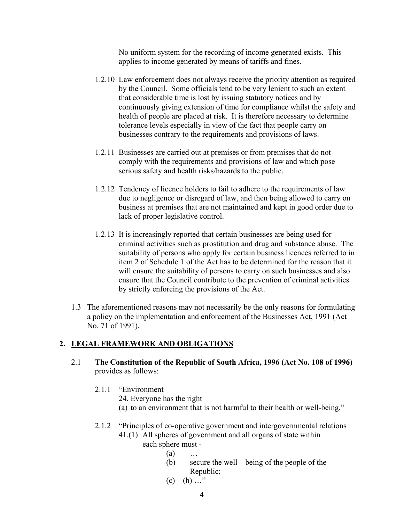No uniform system for the recording of income generated exists. This applies to income generated by means of tariffs and fines.

- 1.2.10 Law enforcement does not always receive the priority attention as required by the Council. Some officials tend to be very lenient to such an extent that considerable time is lost by issuing statutory notices and by continuously giving extension of time for compliance whilst the safety and health of people are placed at risk. It is therefore necessary to determine tolerance levels especially in view of the fact that people carry on businesses contrary to the requirements and provisions of laws.
- 1.2.11 Businesses are carried out at premises or from premises that do not comply with the requirements and provisions of law and which pose serious safety and health risks/hazards to the public.
- 1.2.12 Tendency of licence holders to fail to adhere to the requirements of law due to negligence or disregard of law, and then being allowed to carry on business at premises that are not maintained and kept in good order due to lack of proper legislative control.
- 1.2.13 It is increasingly reported that certain businesses are being used for criminal activities such as prostitution and drug and substance abuse. The suitability of persons who apply for certain business licences referred to in item 2 of Schedule 1 of the Act has to be determined for the reason that it will ensure the suitability of persons to carry on such businesses and also ensure that the Council contribute to the prevention of criminal activities by strictly enforcing the provisions of the Act.
- 1.3 The aforementioned reasons may not necessarily be the only reasons for formulating a policy on the implementation and enforcement of the Businesses Act, 1991 (Act No. 71 of 1991).

# **2. LEGAL FRAMEWORK AND OBLIGATIONS**

- 2.1 **The Constitution of the Republic of South Africa, 1996 (Act No. 108 of 1996)** provides as follows:
	- 2.1.1 "Environment
		- 24. Everyone has the right  $-$
		- (a) to an environment that is not harmful to their health or well-being,"

# 2.1.2 "Principles of co-operative government and intergovernmental relations 41.(1) All spheres of government and all organs of state within

- each sphere must
	- $(a)$ 
		- (b) secure the well  $-$  being of the people of the Republic;
		- $(c) (h) \dots$ <sup>2</sup>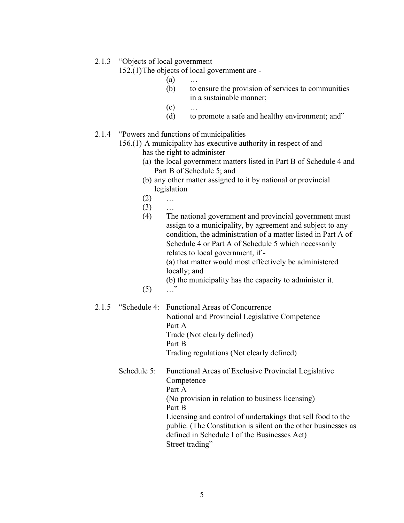#### 2.1.3 "Objects of local government

152.(1) The objects of local government are -

 $(a)$  ...

- (b) to ensure the provision of services to communities in a sustainable manner;
- $(c)$   $\dots$
- $(d)$  to promote a safe and healthy environment; and"

# 2.1.4 "Powers and functions of municipalities

156.(1) A municipality has executive authority in respect of and has the right to administer  $-$ 

- (a) the local government matters listed in Part B of Schedule 4 and Part B of Schedule 5; and
- (b) any other matter assigned to it by national or provincial legislation
- $(2)$  ...

 $(3)$  ...

(4) The national government and provincial government must assign to a municipality, by agreement and subject to any condition, the administration of a matter listed in Part A of Schedule 4 or Part A of Schedule 5 which necessarily relates to local government, if - (a) that matter would most effectively be administered locally; and (b) the municipality has the capacity to administer it.  $(5)$   $\dots$ "

## 2.1.5 "Schedule 4: Functional Areas of Concurrence" National and Provincial Legislative Competence Part A Trade (Not clearly defined) Part B Trading regulations (Not clearly defined)

Schedule 5: Functional Areas of Exclusive Provincial Legislative **Competence**  Part A (No provision in relation to business licensing) Part B Licensing and control of undertakings that sell food to the public. (The Constitution is silent on the other businesses as defined in Schedule I of the Businesses Act) Street trading"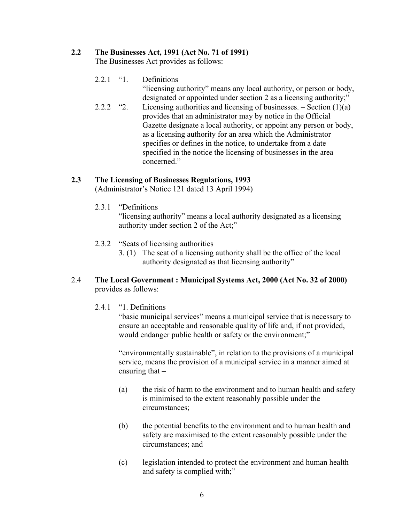## **2.2 The Businesses Act, 1991 (Act No. 71 of 1991)**

The Businesses Act provides as follows:

- $2.2.1$  "1. Definitions
	- "licensing authority" means any local authority, or person or body, designated or appointed under section 2 as a licensing authority;"
- 2.2.2  $\textdegree$  2. Licensing authorities and licensing of businesses.  $-$  Section (1)(a) provides that an administrator may by notice in the Official Gazette designate a local authority, or appoint any person or body, as a licensing authority for an area which the Administrator specifies or defines in the notice, to undertake from a date specified in the notice the licensing of businesses in the area concerned."

## **2.3 The Licensing of Businesses Regulations, 1993**

(Administrator's Notice 121 dated 13 April 1994)

2.3.1 "Definitions"

"licensing authority" means a local authority designated as a licensing authority under section 2 of the Act;"

- 2.3.2 "Seats of licensing authorities
	- 3. (1) The seat of a licensing authority shall be the office of the local authority designated as that licensing authority"
- 2.4 **The Local Government : Municipal Systems Act, 2000 (Act No. 32 of 2000)** provides as follows:
	- $2.4.1$  "1. Definitions"

"basic municipal services" means a municipal service that is necessary to ensure an acceptable and reasonable quality of life and, if not provided, would endanger public health or safety or the environment;"

"environmentally sustainable", in relation to the provisions of a municipal service, means the provision of a municipal service in a manner aimed at ensuring that  $-$ 

- (a) the risk of harm to the environment and to human health and safety is minimised to the extent reasonably possible under the circumstances;
- (b) the potential benefits to the environment and to human health and safety are maximised to the extent reasonably possible under the circumstances; and
- (c) legislation intended to protect the environment and human health and safety is complied with;"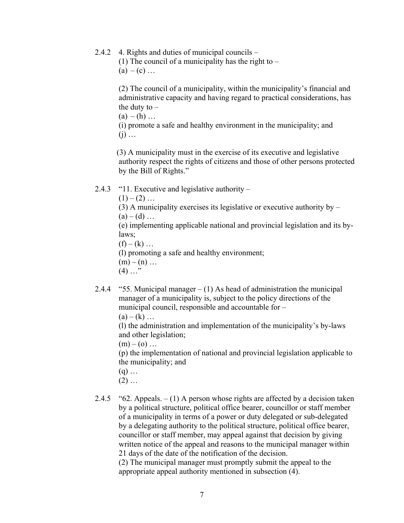2.4.2 4. Rights and duties of municipal councils  $-$ 

(1) The council of a municipality has the right to  $(a) - (c) \dots$ 

 $(2)$  The council of a municipality, within the municipality's financial and administrative capacity and having regard to practical considerations, has the duty to  $-$ 

 $(a) - (h) \dots$ 

(i) promote a safe and healthy environment in the municipality; and  $(i)$   $\dots$ 

 (3) A municipality must in the exercise of its executive and legislative authority respect the rights of citizens and those of other persons protected by the Bill of Rights."

- 2.4.3  $\degree$ 11. Executive and legislative authority
	- $(1) (2)$  ...

(3) A municipality exercises its legislative or executive authority by  $(a) - (d)$  ...

(e) implementing applicable national and provincial legislation and its bylaws;

 $(f) - (k) ...$ 

(l) promoting a safe and healthy environment;

- $(m) (n) \dots$
- $(4)$   $\ldots$ <sup>"</sup>
- 2.4.4  $\degree$  55. Municipal manager  $(1)$  As head of administration the municipal manager of a municipality is, subject to the policy directions of the municipal council, responsible and accountable for  $-$

 $(a) - (k) ...$ 

(l) the administration and implementation of the municipality's by-laws and other legislation;

 $(m) - (o)$  ...

(p) the implementation of national and provincial legislation applicable to the municipality; and

- $(q)$  ...
- $(2)$   $\dots$
- 2.4.5  $\degree$  62. Appeals.  $(1)$  A person whose rights are affected by a decision taken by a political structure, political office bearer, councillor or staff member of a municipality in terms of a power or duty delegated or sub-delegated by a delegating authority to the political structure, political office bearer, councillor or staff member, may appeal against that decision by giving written notice of the appeal and reasons to the municipal manager within 21 days of the date of the notification of the decision.

(2) The municipal manager must promptly submit the appeal to the appropriate appeal authority mentioned in subsection (4).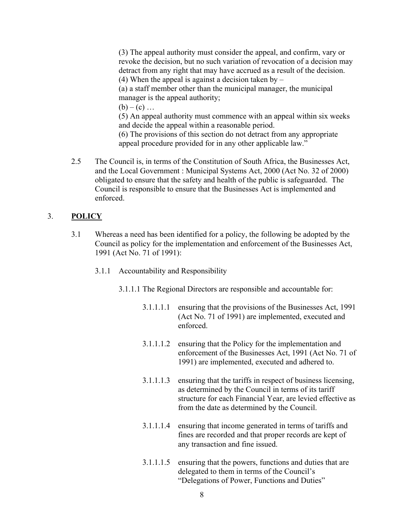(3) The appeal authority must consider the appeal, and confirm, vary or revoke the decision, but no such variation of revocation of a decision may detract from any right that may have accrued as a result of the decision. (4) When the appeal is against a decision taken by  $-$ (a) a staff member other than the municipal manager, the municipal manager is the appeal authority;

 $(b) - (c)$  ...

(5) An appeal authority must commence with an appeal within six weeks and decide the appeal within a reasonable period.

(6) The provisions of this section do not detract from any appropriate appeal procedure provided for in any other applicable law."

2.5 The Council is, in terms of the Constitution of South Africa, the Businesses Act, and the Local Government : Municipal Systems Act, 2000 (Act No. 32 of 2000) obligated to ensure that the safety and health of the public is safeguarded. The Council is responsible to ensure that the Businesses Act is implemented and enforced.

# 3. **POLICY**

- 3.1 Whereas a need has been identified for a policy, the following be adopted by the Council as policy for the implementation and enforcement of the Businesses Act, 1991 (Act No. 71 of 1991):
	- 3.1.1 Accountability and Responsibility
		- 3.1.1.1 The Regional Directors are responsible and accountable for:
			- 3.1.1.1.1 ensuring that the provisions of the Businesses Act, 1991 (Act No. 71 of 1991) are implemented, executed and enforced.
			- 3.1.1.1.2 ensuring that the Policy for the implementation and enforcement of the Businesses Act, 1991 (Act No. 71 of 1991) are implemented, executed and adhered to.
			- 3.1.1.1.3 ensuring that the tariffs in respect of business licensing, as determined by the Council in terms of its tariff structure for each Financial Year, are levied effective as from the date as determined by the Council.
			- 3.1.1.1.4 ensuring that income generated in terms of tariffs and fines are recorded and that proper records are kept of any transaction and fine issued.
			- 3.1.1.1.5 ensuring that the powers, functions and duties that are delegated to them in terms of the Council's "Delegations of Power, Functions and Duties"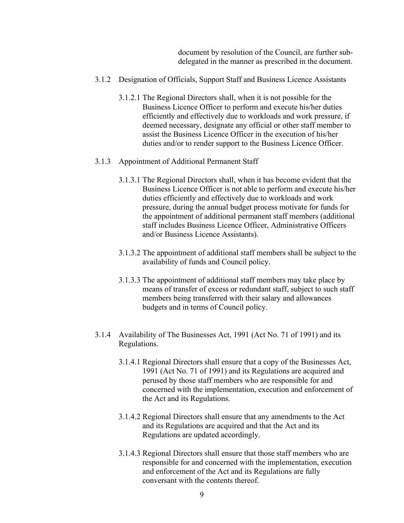document by resolution of the Council, are further subdelegated in the manner as prescribed in the document.

- 3.1.2 Designation of Officials, Support Staff and Business Licence Assistants
	- 3.1.2.1 The Regional Directors shall, when it is not possible for the Business Licence Officer to perform and execute his/her duties efficiently and effectively due to workloads and work pressure, if deemed necessary, designate any official or other staff member to assist the Business Licence Officer in the execution of his/her duties and/or to render support to the Business Licence Officer.
- 3.1.3 Appointment of Additional Permanent Staff
	- 3.1.3.1 The Regional Directors shall, when it has become evident that the Business Licence Officer is not able to perform and execute his/her duties efficiently and effectively due to workloads and work pressure, during the annual budget process motivate for funds for the appointment of additional permanent staff members (additional staff includes Business Licence Officer, Administrative Officers and/or Business Licence Assistants).
	- 3.1.3.2 The appointment of additional staff members shall be subject to the availability of funds and Council policy.
	- 3.1.3.3 The appointment of additional staff members may take place by means of transfer of excess or redundant staff, subject to such staff members being transferred with their salary and allowances budgets and in terms of Council policy.
- 3.1.4 Availability of The Businesses Act, 1991 (Act No. 71 of 1991) and its Regulations.
	- 3.1.4.1 Regional Directors shall ensure that a copy of the Businesses Act, 1991 (Act No. 71 of 1991) and its Regulations are acquired and perused by those staff members who are responsible for and concerned with the implementation, execution and enforcement of the Act and its Regulations.
	- 3.1.4.2 Regional Directors shall ensure that any amendments to the Act and its Regulations are acquired and that the Act and its Regulations are updated accordingly.
	- 3.1.4.3 Regional Directors shall ensure that those staff members who are responsible for and concerned with the implementation, execution and enforcement of the Act and its Regulations are fully conversant with the contents thereof.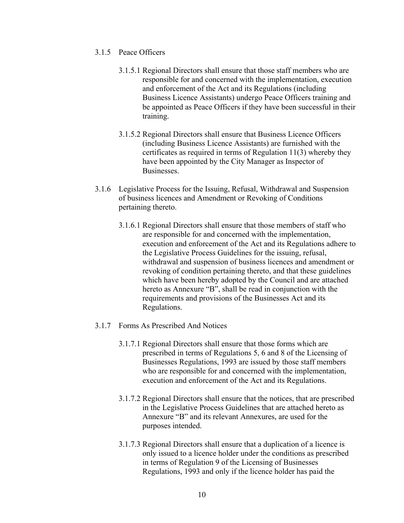- 3.1.5 Peace Officers
	- 3.1.5.1 Regional Directors shall ensure that those staff members who are responsible for and concerned with the implementation, execution and enforcement of the Act and its Regulations (including Business Licence Assistants) undergo Peace Officers training and be appointed as Peace Officers if they have been successful in their training.
	- 3.1.5.2 Regional Directors shall ensure that Business Licence Officers (including Business Licence Assistants) are furnished with the certificates as required in terms of Regulation 11(3) whereby they have been appointed by the City Manager as Inspector of Businesses.
- 3.1.6 Legislative Process for the Issuing, Refusal, Withdrawal and Suspension of business licences and Amendment or Revoking of Conditions pertaining thereto.
	- 3.1.6.1 Regional Directors shall ensure that those members of staff who are responsible for and concerned with the implementation, execution and enforcement of the Act and its Regulations adhere to the Legislative Process Guidelines for the issuing, refusal, withdrawal and suspension of business licences and amendment or revoking of condition pertaining thereto, and that these guidelines which have been hereby adopted by the Council and are attached hereto as Annexure "B", shall be read in conjunction with the requirements and provisions of the Businesses Act and its Regulations.
- 3.1.7 Forms As Prescribed And Notices
	- 3.1.7.1 Regional Directors shall ensure that those forms which are prescribed in terms of Regulations 5, 6 and 8 of the Licensing of Businesses Regulations, 1993 are issued by those staff members who are responsible for and concerned with the implementation, execution and enforcement of the Act and its Regulations.
	- 3.1.7.2 Regional Directors shall ensure that the notices, that are prescribed in the Legislative Process Guidelines that are attached hereto as Annexure "B" and its relevant Annexures, are used for the purposes intended.
	- 3.1.7.3 Regional Directors shall ensure that a duplication of a licence is only issued to a licence holder under the conditions as prescribed in terms of Regulation 9 of the Licensing of Businesses Regulations, 1993 and only if the licence holder has paid the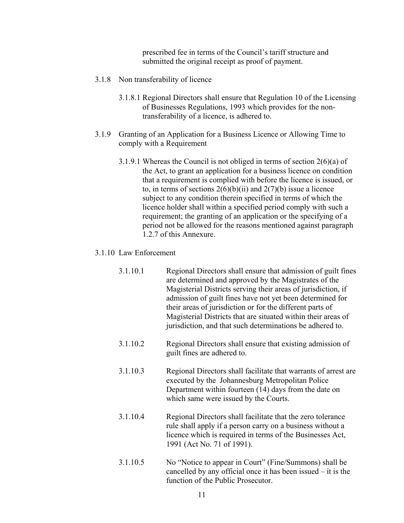prescribed fee in terms of the Council's tariff structure and submitted the original receipt as proof of payment.

- 3.1.8 Non transferability of licence
	- 3.1.8.1 Regional Directors shall ensure that Regulation 10 of the Licensing of Businesses Regulations, 1993 which provides for the nontransferability of a licence, is adhered to.
- 3.1.9 Granting of an Application for a Business Licence or Allowing Time to comply with a Requirement
	- 3.1.9.1 Whereas the Council is not obliged in terms of section 2(6)(a) of the Act, to grant an application for a business licence on condition that a requirement is complied with before the licence is issued, or to, in terms of sections  $2(6)(b)(ii)$  and  $2(7)(b)$  issue a licence subject to any condition therein specified in terms of which the licence holder shall within a specified period comply with such a requirement; the granting of an application or the specifying of a period not be allowed for the reasons mentioned against paragraph 1.2.7 of this Annexure.

#### 3.1.10 Law Enforcement

- 3.1.10.1 Regional Directors shall ensure that admission of guilt fines are determined and approved by the Magistrates of the Magisterial Districts serving their areas of jurisdiction, if admission of guilt fines have not yet been determined for their areas of jurisdiction or for the different parts of Magisterial Districts that are situated within their areas of jurisdiction, and that such determinations be adhered to.
- 3.1.10.2 Regional Directors shall ensure that existing admission of guilt fines are adhered to.
- 3.1.10.3 Regional Directors shall facilitate that warrants of arrest are executed by the Johannesburg Metropolitan Police Department within fourteen (14) days from the date on which same were issued by the Courts.
- 3.1.10.4 Regional Directors shall facilitate that the zero tolerance rule shall apply if a person carry on a business without a licence which is required in terms of the Businesses Act, 1991 (Act No. 71 of 1991).
- $3.1.10.5$  No "Notice to appear in Court" (Fine/Summons) shall be cancelled by any official once it has been issued  $-$  it is the function of the Public Prosecutor.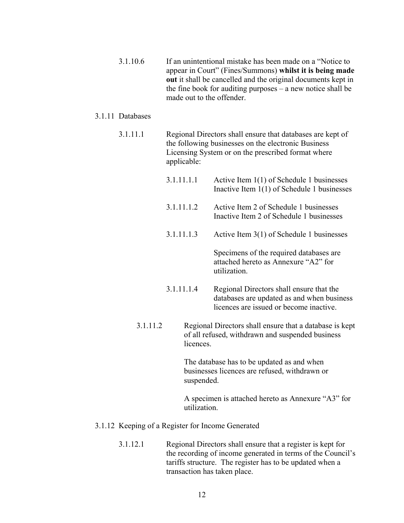3.1.10.6 If an unintentional mistake has been made on a "Notice to" appear in Court" (Fines/Summons) whilst it is being made **out** it shall be cancelled and the original documents kept in the fine book for auditing purposes  $-$  a new notice shall be made out to the offender.

## 3.1.11 Databases

- 3.1.11.1 Regional Directors shall ensure that databases are kept of the following businesses on the electronic Business Licensing System or on the prescribed format where applicable:
	- 3.1.11.1.1 Active Item 1(1) of Schedule 1 businesses Inactive Item 1(1) of Schedule 1 businesses
	- 3.1.11.1.2 Active Item 2 of Schedule 1 businesses Inactive Item 2 of Schedule 1 businesses
	- 3.1.11.1.3 Active Item 3(1) of Schedule 1 businesses

Specimens of the required databases are attached hereto as Annexure "A2" for utilization.

- 3.1.11.1.4 Regional Directors shall ensure that the databases are updated as and when business licences are issued or become inactive.
- 3.1.11.2 Regional Directors shall ensure that a database is kept of all refused, withdrawn and suspended business licences.

The database has to be updated as and when businesses licences are refused, withdrawn or suspended.

A specimen is attached hereto as Annexure "A3" for utilization.

- 3.1.12 Keeping of a Register for Income Generated
	- 3.1.12.1 Regional Directors shall ensure that a register is kept for the recording of income generated in terms of the Council's tariffs structure. The register has to be updated when a transaction has taken place.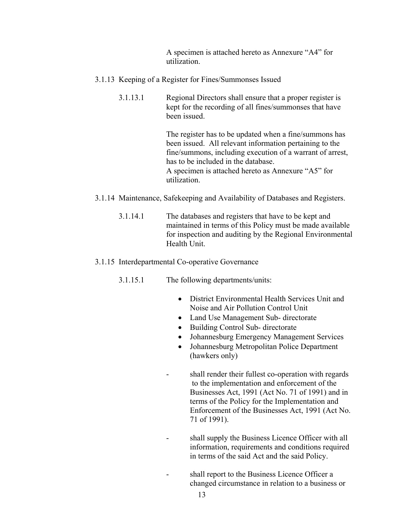A specimen is attached hereto as Annexure "A4" for utilization.

- 3.1.13 Keeping of a Register for Fines/Summonses Issued
	- 3.1.13.1 Regional Directors shall ensure that a proper register is kept for the recording of all fines/summonses that have been issued.

The register has to be updated when a fine/summons has been issued. All relevant information pertaining to the fine/summons, including execution of a warrant of arrest, has to be included in the database. A specimen is attached hereto as Annexure "A5" for utilization.

- 3.1.14 Maintenance, Safekeeping and Availability of Databases and Registers.
	- 3.1.14.1 The databases and registers that have to be kept and maintained in terms of this Policy must be made available for inspection and auditing by the Regional Environmental Health Unit.

#### 3.1.15 Interdepartmental Co-operative Governance

- 3.1.15.1 The following departments/units:
	- District Environmental Health Services Unit and Noise and Air Pollution Control Unit
	- Land Use Management Sub- directorate
	- Building Control Sub- directorate
	- Johannesburg Emergency Management Services
	- Johannesburg Metropolitan Police Department (hawkers only)
	- shall render their fullest co-operation with regards to the implementation and enforcement of the Businesses Act, 1991 (Act No. 71 of 1991) and in terms of the Policy for the Implementation and Enforcement of the Businesses Act, 1991 (Act No. 71 of 1991).
	- shall supply the Business Licence Officer with all information, requirements and conditions required in terms of the said Act and the said Policy.
	- shall report to the Business Licence Officer a changed circumstance in relation to a business or